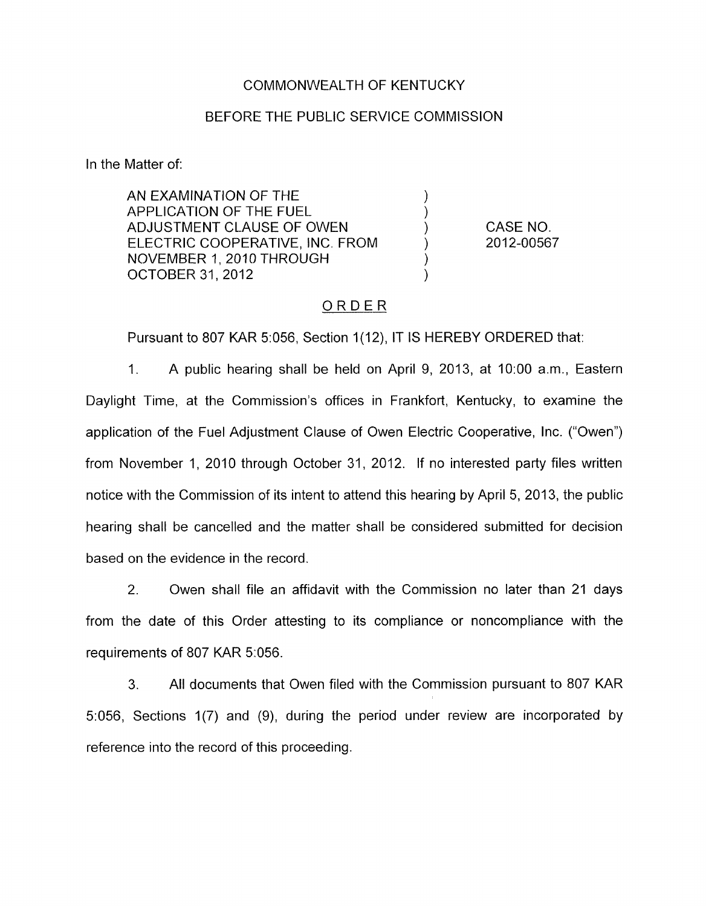### COMMONWEALTH OF KENTUCKY

#### BEFORE THE PUBLIC SERVICE COMMISSION

In the Matter of:

AN EXAMINATION OF THE ) APPLICATION OF THE FUEL (1)<br>ADJUSTMENT CLAUSE OF OWEN (1) ADJUSTMENT CLAUSE OF OWEN (1)<br>ELECTRIC COOPERATIVE, INC. FROM (1) ELECTRIC COOPERATIVE, INC. FROM ) NOVEMBER 1, 2010 THROUGH )<br>OCTOBER 31. 2012 **OCTOBER 31, 2012** 

CASE NO. 2012-00567

## ORDER

Pursuant to 807 KAR 5:056, Section 1(12), IT IS HEREBY ORDERED that:

1. A public hearing shall be held on April 9, 2013, at 1O:OO a.m., Eastern Daylight Time, at the Commission's offices in Frankfort, Kentucky, to examine the application of the Fuel Adjustment Clause of Owen Electric Cooperative, Inc. ("Owen") from November 1, 2010 through October 31, 2012. If no interested party files written notice with the Commission of its intent to attend this hearing by April 5, 2013, the public hearing shall be cancelled and the matter shall be considered submitted for decision based on the evidence in the record.

2. Owen shall file an affidavit with the Commission no later than 21 days from the date of this Order attesting to its compliance or noncompliance with the requirements of 807 KAR 5:056.

3. All documents that Owen filed with the Commission pursuant to 807 KAR 5:056, Sections 1(7) and (9), during the period under review are incorporated by reference into the record of this proceeding.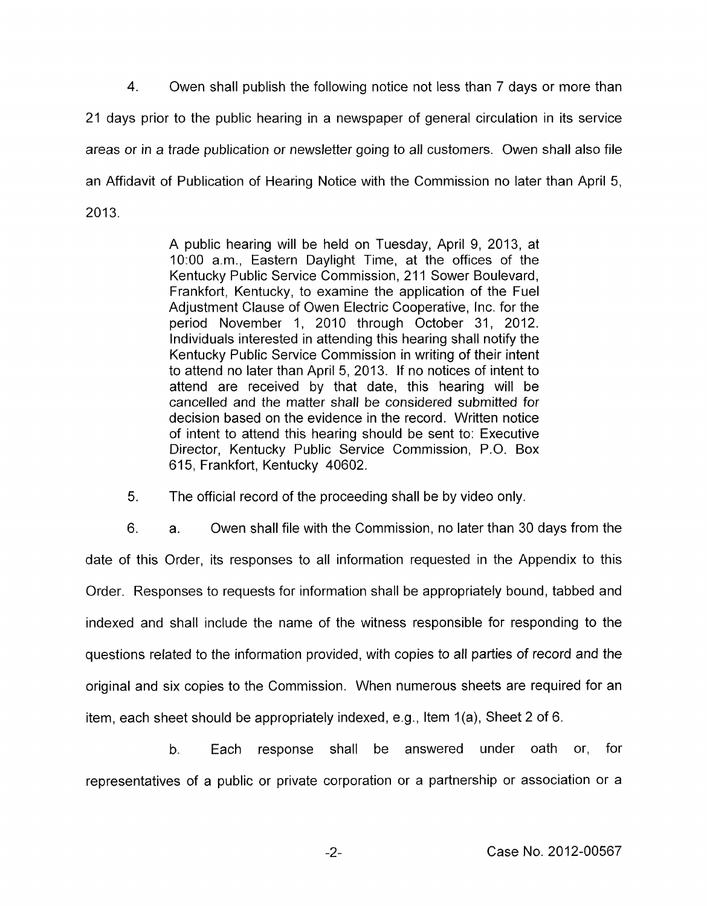4. Owen shall publish the following natice not less than 7 days or more than 21 days prior to the public hearing in a newspaper of general circulation in its service areas or in a trade publication or newsletter going to all customers. Owen shall also file an Affidavit of Publication of Hearing Notice with the Commission no later than April 5, 2013.

> A public hearing will be held on Tuesday, April 9, 2013, at 1O:OO a.m., Eastern Daylight Time, at the offices of the Kentucky Public Service Commission, 211 Sower Boulevard, Frankfort, Kentucky, to examine the application of the Fuel Adjustment Clause of Owen Electric Cooperative, Inc. for the period November 1, 2010 through October 31, 2012. Individuals interested in attending this hearing shall notify the Kentucky Public Service Commission in writing of their intent to attend no later than April 5, 2013. If no notices of intent to attend are received by that date, this hearing will be cancelled and the matter shall be considered submitted for decision based on the evidence in the record. Written notice of intent to attend this hearing should be sent to: Executive Director, Kentucky Public Service Commission, P.O. Box 615, Frankfort, Kentucky 40602.

5. The official record of the proceeding shall be by video only.

6. a. Owen shall file with the Commission, no later than 30 days from the date of this Order, its responses to all information requested in the Appendix to this Order. Responses to requests for information shall be appropriately bound, tabbed and indexed and shall include the name of the witness responsible for responding to the questions related to the information provided, with copies to all parties of record and the original and six copies to the Commission. When numerous sheets are required for an item, each sheet should be appropriately indexed, e.g., Item 1(a), Sheet 2 of 6.

b. Each response shall be answered under oath or, for representatives of a public or private corporation or a partnership or association or a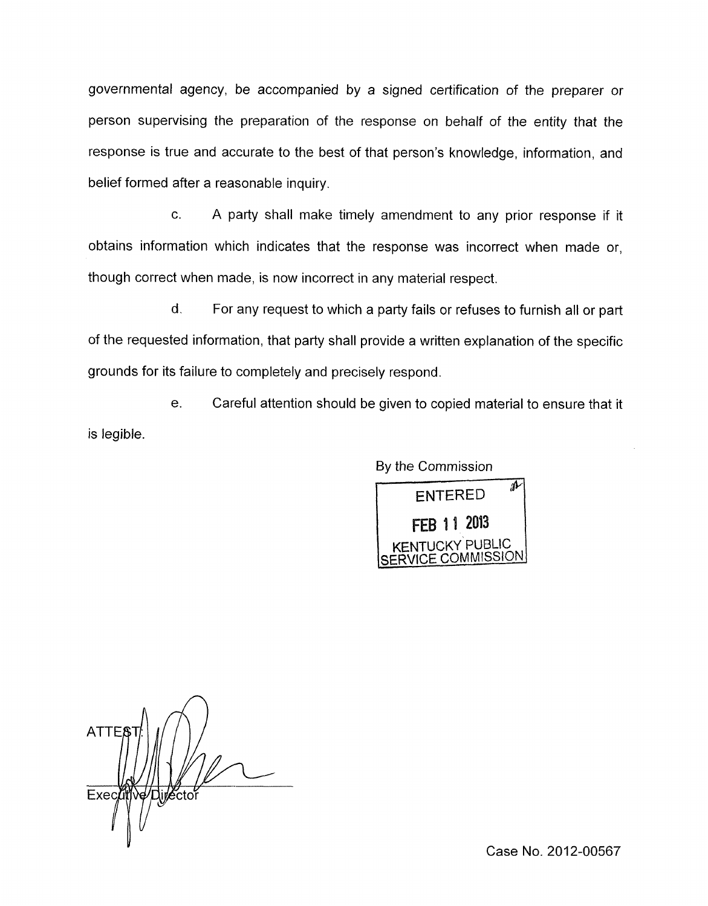governmental agency, be accompanied by a signed certification of the preparer or person supervising the preparation of the response on behalf of the entity that the response is true and accurate to the best of that person's knowledge, information, and belief formed after a reasonable inquiry.

c. A party shall make timely amendment to any prior response if it obtains information which indicates that the response was incorrect when made or, though correct when made, is now incorrect in any material respect.

d. For any request to which a party fails or refuses to furnish all or part of the requested information, that party shall provide a written explanation of the specific grounds for its failure to completely and precisely respond.

e. Careful attention should be given to copied material to ensure that it is legible.

By the Commission



**ATTE** Director Execu

Case No. 2012-00567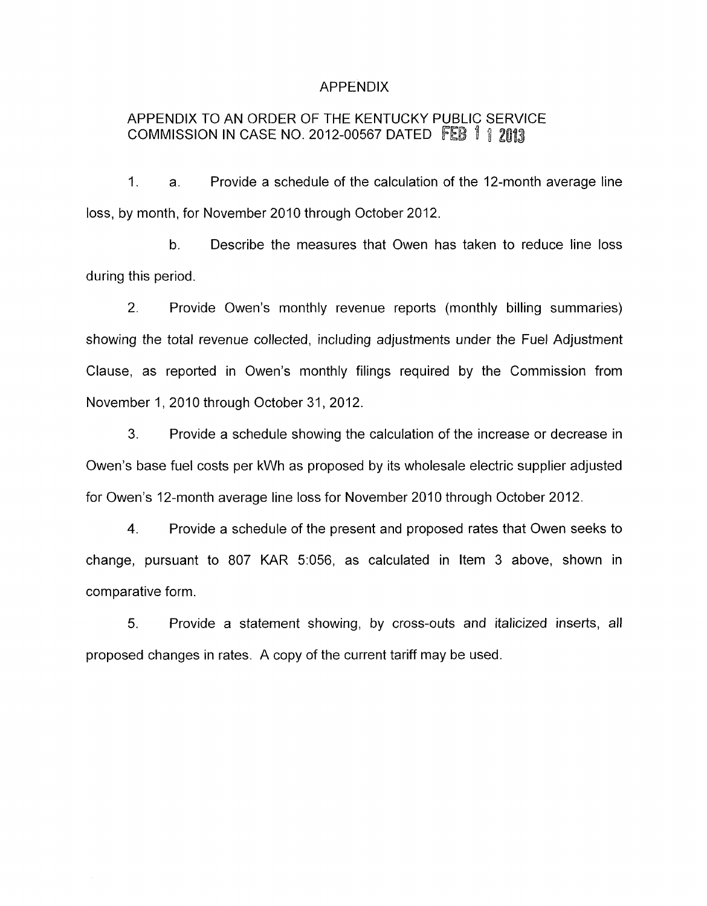### APPENDIX

# APPENDIX TO AN ORDER OF THE KENTUCKY PUBLIC SERVICE COMMISSION IN CASE NO. 2012-00567 DATED

1. a. Provide a schedule of the calculation of the 12-month average line loss, by month, for November 2010 through October 2012.

b. Describe the measures that Owen has taken to reduce line loss during this period.

2. Provide Owen's monthly revenue reports (monthly billing summaries) showing the total revenue collected, including adjustments under the Fuel Adjustment Clause, as reported in Owen's monthly filings required by the Commission from November 1, 2010 through October 31, 2012.

3. Provide a schedule showing the calculation of the increase or decrease in Owen's base fuel costs per kWh as proposed by its wholesale electric supplier adjusted for Owen's 12-month average line loss for November 2010 through October 2012.

**4.** Provide a schedule of the present and proposed rates that Owen seeks to change, pursuant to 807 KAR 5:056, as calculated in Item 3 above, shown in comparative form.

5. Provide a statement showing, by cross-outs and italicized inserts, all proposed changes in rates. A copy of the current tariff may be used.